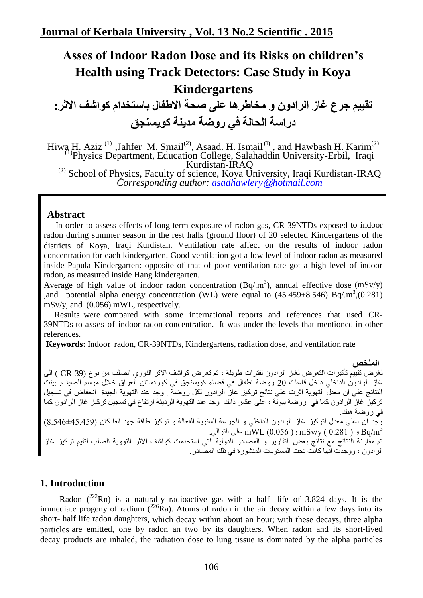# **Asses of Indoor Radon Dose and its Risks on children's Health using Track Detectors: Case Study in Koya Kindergartens**

**تقيين جرع غاز الرادون و هخاطرها على صحة االطفال باستخذام كواشف االثر: دراسة الحالة في روضة هذينة كويسنجق**

Hiwa H. Aziz<sup>(1)</sup>, Jahfer M. Smail<sup>(2)</sup>, Asaad. H. Ismail<sup>(1)</sup>, and Hawbash H. Karim<sup>(2)</sup> (1)Physics Department, Education College, Salahaddin University-Erbil, Iraqi  $^{(2)}$  School of Physics, Faculty of science, Koya University, Iraqi Kurdistan-IRAQ *Corresponding author: [asadhawlery](mailto:asadhawlery@hotmail.com)*@*hotmail.com*

### **Abstract**

 In order to assess effects of long term exposure of radon gas, CR-39NTDs exposed to indoor radon during summer season in the rest halls (ground floor) of 20 selected Kindergartens of the districts of Koya, Iraqi Kurdistan. Ventilation rate affect on the results of indoor radon concentration for each kindergarten. Good ventilation got a low level of indoor radon as measured inside Papula Kindergarten: opposite of that of poor ventilation rate got a high level of indoor radon, as measured inside Hang kindergarten.

Average of high value of indoor radon concentration (Bq/.m<sup>3</sup>), annual effective dose (mSv/y) ,and potential alpha energy concentration (WL) were equal to  $(45.459 \pm 8.546)$  Bq/.m<sup>3</sup>,(0.281) mSv/y, and (0.056) mWL, respectively.

 Results were compared with some international reports and references that used CR-39NTDs to asses of indoor radon concentration. It was under the levels that mentioned in other references.

**Keywords:** Indoor radon, CR-39NTDs, Kindergartens, radiation dose, and ventilation rate

**الملخص** لغرض تفييّم تأثيرات النعرض لغاز الرادون لفترات طويلة ، تم تعرض كواشف الاثر النووي الصلب من نوع (CR-39 ) الى غاز الرادون الداخلي داخل قاعات 20 روضة اطفال في قضاء كويسنجق في كوردستان العراق خلال موسم الصيف. بينت النتائج على ان معدل النهوية اثرت على نتائج تركيز عاز الرادون لكل روضة . وجد عند النهوية الجيدة انحفاض في تسجيل تركيز عار الرادون كما في روضة ببولة ، على عكس ذالك "وجد عند النهوية الرديئة ارتفاع في تسجيلٌ تركيز عار الرادون كما في روضة هنك. وجد ان اعلى معدل لتركيز غاز الرادون الداخلي و الجرعة السنوية الفعالة و تركيز طاقة جهد الفا كان (45.459±6.54) و ( 0.281 )  $\rm mW L$  و( 0.056)  $\rm mS$  على النوالي.  $\rm Bq/m^{3}$ تم مقارنة النتائج مع نتائج بعض التقارير و المصادر الدولية التي استحدمت كواشف الاثر النووية الصلب لتقيم تركيز غاز الرادون ، ووجدت انها كانت تحت المستويات المنشورة في تلك المصـادر .

### **1. Introduction**

Radon  $(^{222}$ Rn) is a naturally radioactive gas with a half- life of 3.824 days. It is the immediate progeny of radium  $(^{226}Ra)$ . Atoms of radon in the air decay within a few days into its short- half life radon daughters, which decay within about an hour; with these decays, three alpha particles are emitted, one by radon an two by its daughters. When radon and its short-lived decay products are inhaled, the radiation dose to lung tissue is dominated by the alpha particles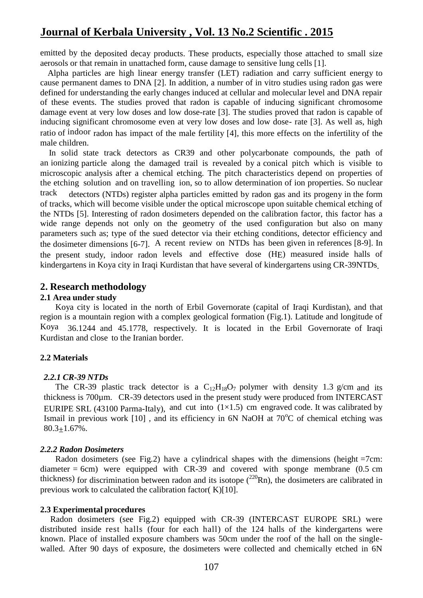emitted by the deposited decay products. These products, especially those attached to small size aerosols or that remain in unattached form, cause damage to sensitive lung cells [1].

 Alpha particles are high linear energy transfer (LET) radiation and carry sufficient energy to cause permanent dames to DNA [2]. In addition, a number of in vitro studies using radon gas were defined for understanding the early changes induced at cellular and molecular level and DNA repair of these events. The studies proved that radon is capable of inducing significant chromosome damage event at very low doses and low dose-rate [3]. The studies proved that radon is capable of inducing significant chromosome even at very low doses and low dose- rate [3]. As well as, high ratio of indoor radon has impact of the male fertility [4], this more effects on the infertility of the male children.

 In solid state track detectors as CR39 and other polycarbonate compounds, the path of an ionizing particle along the damaged trail is revealed by a conical pitch which is visible to microscopic analysis after a chemical etching. The pitch characteristics depend on properties of the etching solution and on travelling ion, so to allow determination of ion properties. So nuclear track detectors (NTDs) register alpha particles emitted by radon gas and its progeny in the form of tracks, which will become visible under the optical microscope upon suitable chemical etching of the NTDs [5]. Interesting of radon dosimeters depended on the calibration factor, this factor has a wide range depends not only on the geometry of the used configuration but also on many parameters such as; type of the sued detector via their etching conditions, detector efficiency and the dosimeter dimensions [6-7]. A recent review on NTDs has been given in references [8-9]. In the present study, indoor radon levels and effective dose (HE) measured inside halls of kindergartens in Koya city in Iraqi Kurdistan that have several of kindergartens using CR-39NTDs.

### **2. Research methodology**

#### **2.1 Area under study**

Koya city is located in the north of Erbil Governorate (capital of Iraqi Kurdistan), and that region is a mountain region with a complex geological formation (Fig.1). Latitude and longitude of Koya 36.1244 and 45.1778, respectively. It is located in the Erbil Governorate of Iraqi Kurdistan and close to the Iranian border.

#### **2.2 Materials**

#### *2.2.1 CR-39 NTDs*

The CR-39 plastic track detector is a  $C_{12}H_{18}O_7$  polymer with density 1.3 g/cm and its thickness is 700µm. CR-39 detectors used in the present study were produced from INTERCAST EURIPE SRL (43100 Parma-Italy), and cut into  $(1\times1.5)$  cm engraved code. It was calibrated by Ismail in previous work  $[10]$ , and its efficiency in 6N NaOH at  $70^{\circ}$ C of chemical etching was  $80.3 + 1.67\%$ .

### *2.2.2 Radon Dosimeters*

Radon dosimeters (see Fig.2) have a cylindrical shapes with the dimensions (height =7cm: diameter  $= 6$ cm) were equipped with CR-39 and covered with sponge membrane (0.5 cm thickness) for discrimination between radon and its isotope  $(^{220}Rn)$ , the dosimeters are calibrated in previous work to calculated the calibration factor  $(K)[10]$ .

#### **2.3 Experimental procedures**

Radon dosimeters (see Fig.2) equipped with CR-39 (INTERCAST EUROPE SRL) were distributed inside rest halls (four for each hall) of the 124 halls of the kindergartens were known. Place of installed exposure chambers was 50cm under the roof of the hall on the singlewalled. After 90 days of exposure, the dosimeters were collected and chemically etched in 6N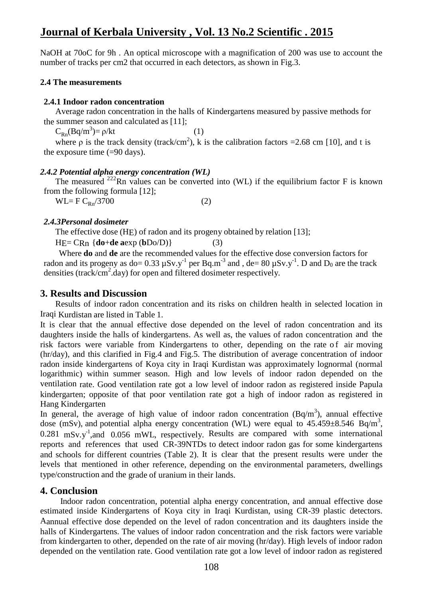NaOH at 70oC for 9h. An optical microscope with a magnification of 200 was use to account the number of tracks per cm2 that occurred in each detectors, as shown in Fig.3.

### **2.4 The measurements**

### **2.4.1 Indoor radon concentration**

Average radon concentration in the halls of Kindergartens measured by passive methods for the summer season and calculated as [11];

 $C_{Rn}(Bq/m^3) = \rho/kt$  (1)

where  $\rho$  is the track density (track/cm<sup>2</sup>), k is the calibration factors = 2.68 cm [10], and t is the exposure time  $(=90 \text{ days})$ .

### *2.4.2 Potential alpha energy concentration (WL)*

The measured  $^{222}$ Rn values can be converted into (WL) if the equilibrium factor F is known from the following formula [12];

 $WL = F C_{Rn}/3700$  (2)

### *2.4.3Personal dosimeter*

The effective dose (HE) of radon and its progeny obtained by relation [13];

 $HE = CRn \{ do + de aexp (bDo/D) \}$  (3)

Where **do** and **de** are the recommended values for the effective dose conversion factors for radon and its progeny as do= 0.33  $\mu Sv.y^{-1}$  per Bq.m<sup>-3</sup> and , de= 80  $\mu Sv.y^{-1}$ . D and  $D_0$  are the track densities (track/cm<sup>2</sup>.day) for open and filtered dosimeter respectively.

### **3. Results and Discussion**

Results of indoor radon concentration and its risks on children health in selected location in Iraqi Kurdistan are listed in Table 1.

It is clear that the annual effective dose depended on the level of radon concentration and its daughters inside the halls of kindergartens. As well as, the values of radon concentration and the risk factors were variable from Kindergartens to other, depending on the rate of air moving (hr/day), and this clarified in Fig.4 and Fig.5. The distribution of average concentration of indoor radon inside kindergartens of Koya city in Iraqi Kurdistan was approximately lognormal (normal logarithmic) within summer season. High and low levels of indoor radon depended on the ventilation rate. Good ventilation rate got a low level of indoor radon as registered inside Papula kindergarten; opposite of that poor ventilation rate got a high of indoor radon as registered in Hang Kindergarten

In general, the average of high value of indoor radon concentration  $(Bq/m^3)$ , annual effective dose (mSv), and potential alpha energy concentration (WL) were equal to  $45.459 \pm 8.546$  Bq/m<sup>3</sup>,  $0.281$  mSv.y<sup>-1</sup>,and  $0.056$  mWL, respectively. Results are compared with some international reports and references that used CR-39NTDs to detect indoor radon gas for some kindergartens and schools for different countries (Table 2). It is clear that the present results were under the levels that mentioned in other reference, depending on the environmental parameters, dwellings type/construction and the grade of uranium in their lands.

### **4. Conclusion**

Indoor radon concentration, potential alpha energy concentration, and annual effective dose estimated inside Kindergartens of Koya city in Iraqi Kurdistan, using CR-39 plastic detectors. Aannual effective dose depended on the level of radon concentration and its daughters inside the halls of Kindergartens. The values of indoor radon concentration and the risk factors were variable from kindergarten to other, depended on the rate of air moving (hr/day). High levels of indoor radon depended on the ventilation rate. Good ventilation rate got a low level of indoor radon as registered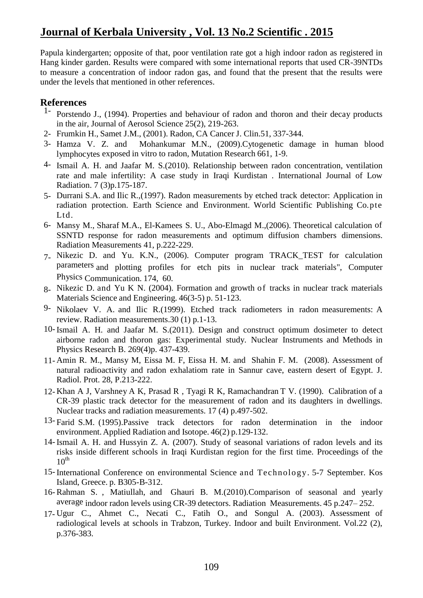Papula kindergarten; opposite of that, poor ventilation rate got a high indoor radon as registered in Hang kinder garden. Results were compared with some international reports that used CR-39NTDs to measure a concentration of indoor radon gas, and found that the present that the results were under the levels that mentioned in other references.

### **References**

- 1- Porstendo J., (1994). Properties and behaviour of radon and thoron and their decay products in the air, Journal of Aerosol Science 25(2), 219-263.
- 2- Frumkin H., Samet J.M., (2001). Radon, CA Cancer J. Clin.51, 337-344.
- 3- Hamza V. Z. and Mohankumar M.N., (2009).Cytogenetic damage in human blood lymphocytes exposed in vitro to radon, Mutation Research 661, 1-9.
- 4- Ismail A. H. and Jaafar M. S.(2010). Relationship between radon concentration, ventilation rate and male infertility: A case study in Iraqi Kurdistan . International Journal of Low Radiation. 7 (3)p.175-187.
- 5- Durrani S.A. and Ilic R.,(1997). Radon measurements by etched track detector: Application in radiation protection. Earth Science and Environment. World Scientific Publishing Co.pte Ltd.
- 6- Mansy M., Sharaf M.A., El-Kamees S. U., Abo-Elmagd M.,(2006). Theoretical calculation of SSNTD response for radon measurements and optimum diffusion chambers dimensions. Radiation Measurements 41, p.222-229.
- 7- Nikezic D. and Yu. K.N., (2006). Computer program TRACK\_TEST for calculation parameters and plotting profiles for etch pits in nuclear track materials", Computer Physics Communication. 174, 60.
- 8- Nikezic D. and Yu K N. (2004). Formation and growth of tracks in nuclear track materials Materials Science and Engineering. 46(3-5) p. 51-123.
- 9- Nikolaev V. A. and Ilic R.(1999). Etched track radiometers in radon measurements: A review. Radiation measurements.30 (1) p.1-13.
- 10- Ismail A. H. and Jaafar M. S.(2011). Design and construct optimum dosimeter to detect airborne radon and thoron gas: Experimental study. Nuclear Instruments and Methods in Physics Research B. 269(4)p. 437-439.
- 11- Amin R. M., Mansy M, Eissa M. F, Eissa H. M. and Shahin F. M. (2008). Assessment of natural radioactivity and radon exhalatiom rate in Sannur cave, eastern desert of Egypt. J. Radiol. Prot. 28, P.213-222.
- 12- Khan A J, Varshney A K, Prasad R , Tyagi R K, Ramachandran T V. (1990). Calibration of a CR-39 plastic track detector for the measurement of radon and its daughters in dwellings. Nuclear tracks and radiation measurements. 17 (4) p.497-502.
- 13- Farid S.M. (1995).Passive track detectors for radon determination in the indoor environment. Applied Radiation and Isotope. 46(2) p.129-132.
- 14- Ismail A. H. and Hussyin Z. A. (2007). Study of seasonal variations of radon levels and its risks inside different schools in Iraqi Kurdistan region for the first time. Proceedings of the  $10^{th}$
- 15- International Conference on environmental Science and Technology. 5-7 September. Kos Island, Greece. p. B305-B-312.
- 16- Rahman S. , Matiullah, and Ghauri B. M.(2010).Comparison of seasonal and yearly average indoor radon levels using CR-39 detectors. Radiation Measurements. 45 p.247– 252.
- 17- Ugur C., Ahmet C., Necati C., Fatih O., and Songul A. (2003). Assessment of radiological levels at schools in Trabzon, Turkey. Indoor and built Environment. Vol.22 (2), p.376-383.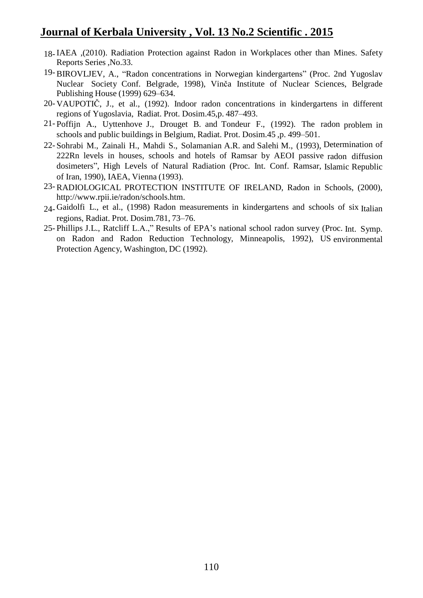- 18- IAEA ,(2010). Radiation Protection against Radon in Workplaces other than Mines. Safety Reports Series ,No.33.
- 19- BIROVLJEV, A., "Radon concentrations in Norwegian kindergartens" (Proc. 2nd Yugoslav Nuclear Society Conf. Belgrade, 1998), Vinča Institute of Nuclear Sciences, Belgrade Publishing House (1999) 629–634.
- 20- VAUPOTIČ, J., et al., (1992). Indoor radon concentrations in kindergartens in different regions of Yugoslavia, Radiat. Prot. Dosim.45,p. 487–493.
- 21- Poffijn A., Uyttenhove J., Drouget B. and Tondeur F., (1992). The radon problem in schools and public buildings in Belgium, Radiat. Prot. Dosim.45 ,p. 499–501.
- 22- Sohrabi M., Zainali H., Mahdi S., Solamanian A.R. and Salehi M., (1993), Determination of 222Rn levels in houses, schools and hotels of Ramsar by AEOI passive radon diffusion dosimeters", High Levels of Natural Radiation (Proc. Int. Conf. Ramsar, Islamic Republic of Iran, 1990), IAEA, Vienna (1993).
- 23- RADIOLOGICAL PROTECTION INSTITUTE OF IRELAND, Radon in Schools, (2000), [http://www.rpii.ie/radon/schools.htm.](http://www.rpii.ie/radon/schools.htm)
- $24$  Gaidolfi L., et al., (1998) Radon measurements in kindergartens and schools of six Italian regions, Radiat. Prot. Dosim.781, 73–76.
- 25- Phillips J.L., Ratcliff L.A.," Results of EPA's national school radon survey (Proc. Int. Symp. on Radon and Radon Reduction Technology, Minneapolis, 1992), US environmental Protection Agency, Washington, DC (1992).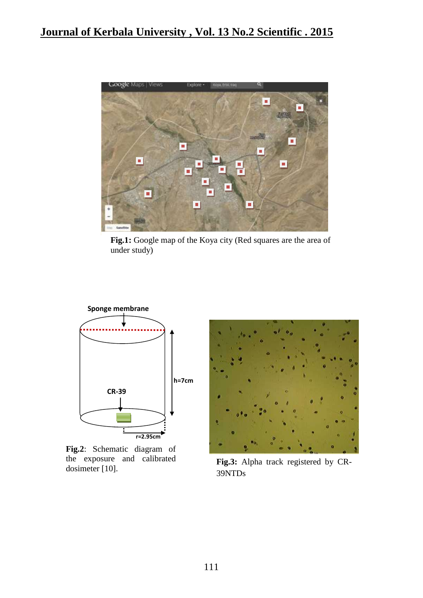

**Fig.1:** Google map of the Koya city (Red squares are the area of under study)



**Fig.2**: Schematic diagram of the exposure and calibrated dosimeter [10].



**Fig.3:** Alpha track registered by CR-39NTDs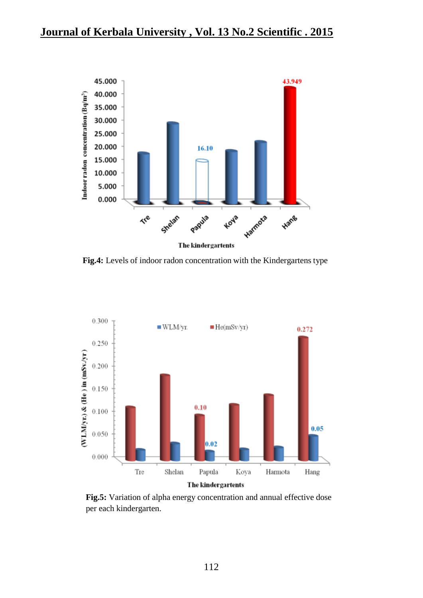

**Fig.4:** Levels of indoor radon concentration with the Kindergartens type



**Fig.5:** Variation of alpha energy concentration and annual effective dose per each kindergarten.